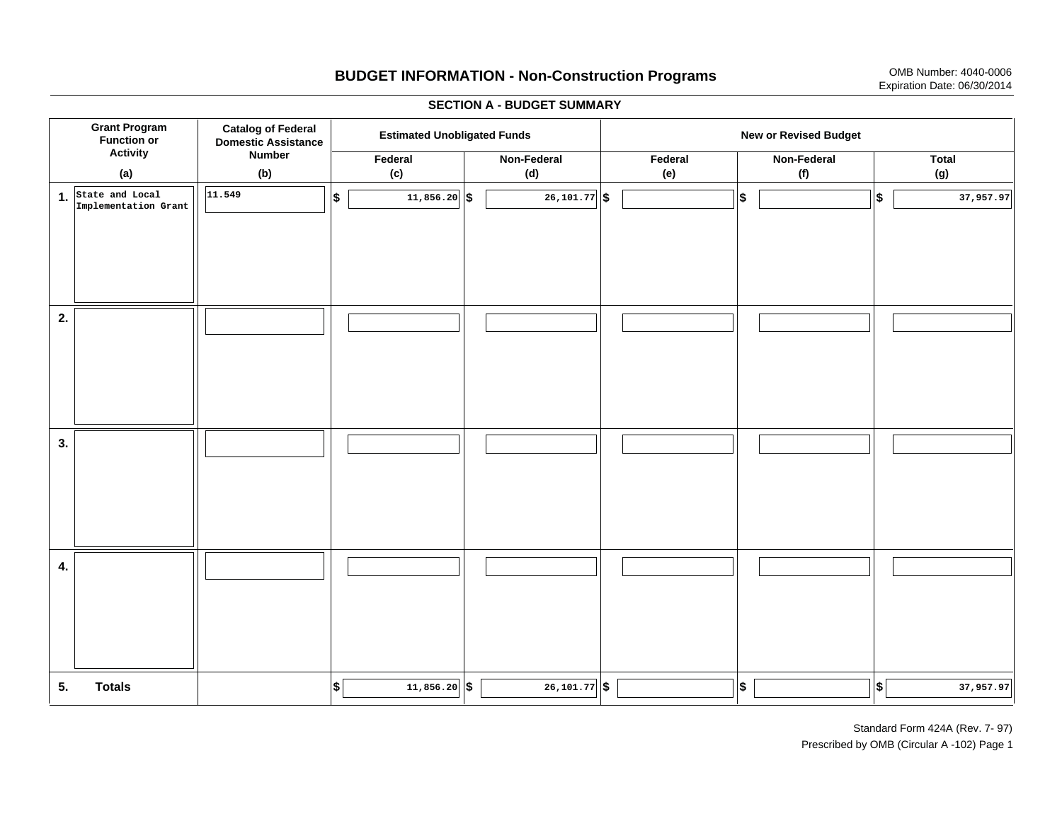# **BUDGET INFORMATION - Non-Construction Programs** OMB Number: 4040-0006 Expiration Date: 06/30/2014

**\$ Grant Program Function or Activity (a) Catalog of Federal Domestic Assistance Number (b) Estimated Unobligated Funds New or Revised Budget Federal (c) Non-Federal(d) Federal(e) Non-Federal (f) Total(g) 5. Totals4. 3. 2. 1.State and Local \$\$\$\$**  $\frac{1}{26,101.77}$  \$ **Implementation Grant 11.54911,856.20 | S** | 26,101.77 | S | 37,957.97 | S | 37,957.97  $\frac{1}{26}$  **1**,856.20 **\$ 26,101.77 \$ 1 37,957.97** 

#### **SECTION A - BUDGET SUMMARY**

Standard Form 424A (Rev. 7- 97) Prescribed by OMB (Circular A -102) Page 1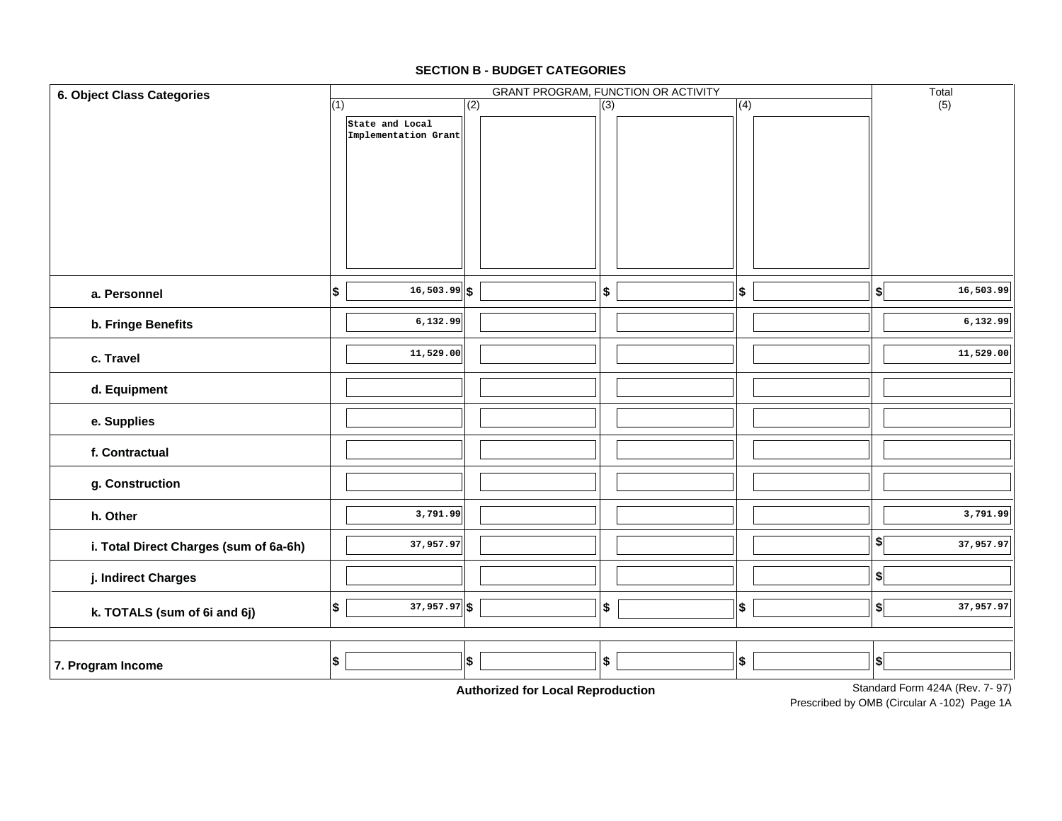## **7. Program Income d. Equipment e. Supplies f. Contractualg. Construction h. Otherj. Indirect Charges k. TOTALS (sum of 6i and 6j) i. Total Direct Charges (sum of 6a-6h)**  $(1)$ GRANT PROGRAM, FUNCTION OR ACTIVITY (2) (3) (4) (5) **6. Object Class Categories** Total **a. Personnelb. Fringe Benefits c. TravelState and Local Implementation Grant 16,503.99 \$ \$ \$ \$ \$ 6,132.99 11,529.00 3,791.99 37,957.97 37,957.97 \$ \$ \$ \$ \$ 16,503.99 6,132.99 11,529.00 3,791.99 37,957.97 37,957.97 \$ \$ \$ \$ \$ \$ \$**

#### **SECTION B - BUDGET CATEGORIES**

**Authorized for Local Reproduction**

Prescribed by OMB (Circular A -102) Page 1A Standard Form 424A (Rev. 7- 97)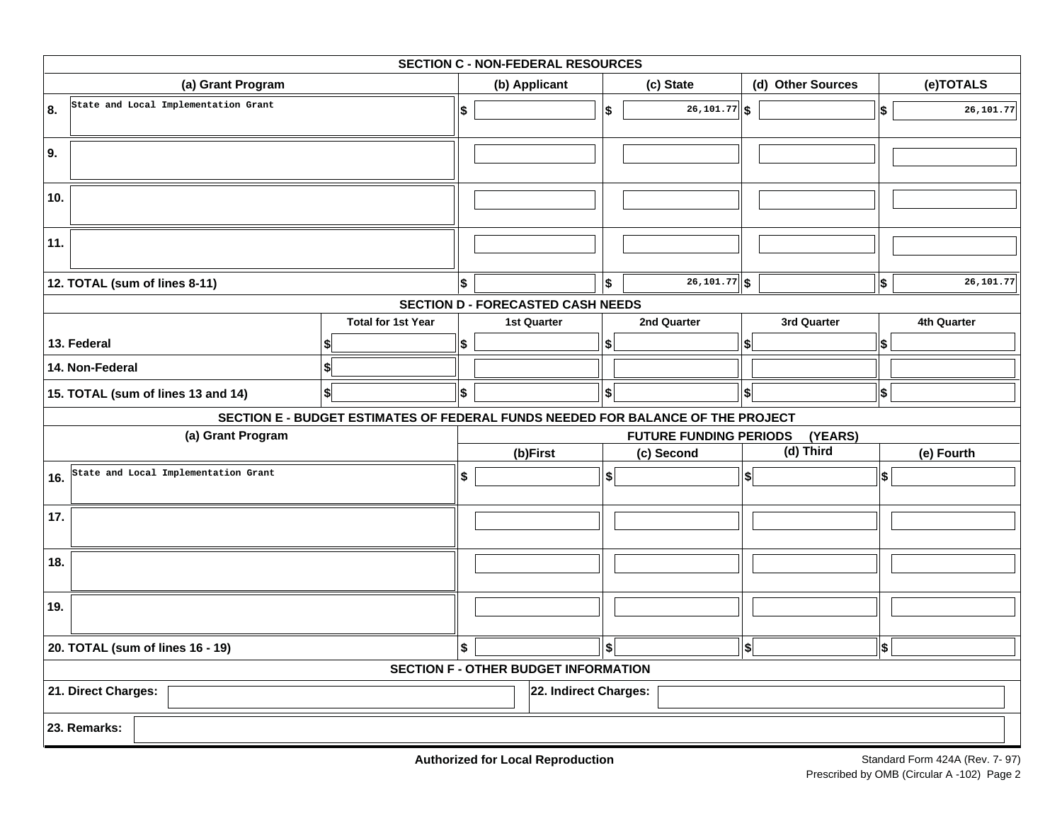| <b>SECTION C - NON-FEDERAL RESOURCES</b> |                                      |                                      |                                                                                 |                                             |                                          |           |                                          |                                          |           |            |             |  |
|------------------------------------------|--------------------------------------|--------------------------------------|---------------------------------------------------------------------------------|---------------------------------------------|------------------------------------------|-----------|------------------------------------------|------------------------------------------|-----------|------------|-------------|--|
| (a) Grant Program                        |                                      |                                      |                                                                                 | (b) Applicant                               |                                          | (c) State |                                          | (d) Other Sources                        |           | (e)TOTALS  |             |  |
| 8.                                       |                                      | State and Local Implementation Grant |                                                                                 | \$                                          |                                          | \$        | $\overline{26,101.77}$ \$                |                                          |           | \$         | 26,101.77   |  |
| 9.                                       |                                      |                                      |                                                                                 |                                             |                                          |           |                                          |                                          |           |            |             |  |
| 10.                                      |                                      |                                      |                                                                                 |                                             |                                          |           |                                          |                                          |           |            |             |  |
| 11.                                      |                                      |                                      |                                                                                 |                                             |                                          |           |                                          |                                          |           |            |             |  |
|                                          | 12. TOTAL (sum of lines 8-11)        |                                      |                                                                                 | \$                                          |                                          | \$        | $\overline{26,101.77}$ \$                |                                          |           | \$         | 26,101.77   |  |
|                                          |                                      |                                      |                                                                                 |                                             | <b>SECTION D - FORECASTED CASH NEEDS</b> |           |                                          |                                          |           |            |             |  |
|                                          |                                      |                                      | <b>Total for 1st Year</b>                                                       |                                             | <b>1st Quarter</b>                       |           | 2nd Quarter                              | 3rd Quarter                              |           |            | 4th Quarter |  |
|                                          | 13. Federal                          |                                      |                                                                                 | \$                                          |                                          | \$        |                                          | \$                                       |           | \$         |             |  |
|                                          | 14. Non-Federal                      |                                      |                                                                                 |                                             |                                          |           |                                          |                                          |           |            |             |  |
|                                          | 15. TOTAL (sum of lines 13 and 14)   |                                      | \$                                                                              | \$                                          |                                          | \$        |                                          | \$                                       |           | \$         |             |  |
|                                          |                                      |                                      | SECTION E - BUDGET ESTIMATES OF FEDERAL FUNDS NEEDED FOR BALANCE OF THE PROJECT |                                             |                                          |           |                                          |                                          |           |            |             |  |
|                                          |                                      | (a) Grant Program                    |                                                                                 |                                             |                                          |           | <b>FUTURE FUNDING PERIODS</b>            |                                          | (YEARS)   |            |             |  |
|                                          |                                      |                                      |                                                                                 |                                             | (b)First<br>(c) Second                   |           |                                          |                                          | (d) Third | (e) Fourth |             |  |
| 16.                                      | State and Local Implementation Grant |                                      | \$                                                                              |                                             | \$                                       |           | $\left  \boldsymbol{\mathsf{s}} \right $ |                                          | \$        |            |             |  |
| 17.                                      |                                      |                                      |                                                                                 |                                             |                                          |           |                                          |                                          |           |            |             |  |
| 18.                                      |                                      |                                      |                                                                                 |                                             |                                          |           |                                          |                                          |           |            |             |  |
| 19.                                      |                                      |                                      |                                                                                 |                                             |                                          |           |                                          |                                          |           |            |             |  |
| 20. TOTAL (sum of lines 16 - 19)         |                                      |                                      |                                                                                 | \$                                          |                                          | \$        |                                          | $\left  \boldsymbol{\mathsf{s}} \right $ |           | \$         |             |  |
|                                          |                                      |                                      |                                                                                 | <b>SECTION F - OTHER BUDGET INFORMATION</b> |                                          |           |                                          |                                          |           |            |             |  |
| 21. Direct Charges:                      |                                      |                                      |                                                                                 |                                             | 22. Indirect Charges:                    |           |                                          |                                          |           |            |             |  |
|                                          | 23. Remarks:                         |                                      |                                                                                 |                                             |                                          |           |                                          |                                          |           |            |             |  |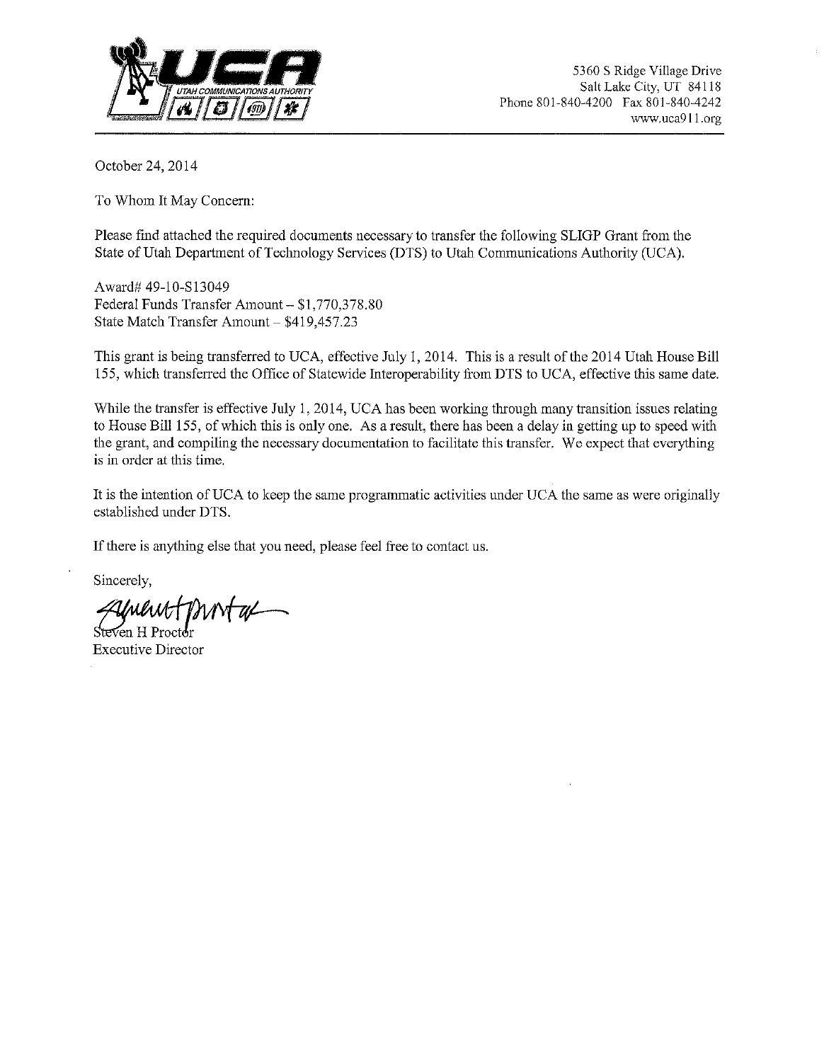

October 24, 2014

To Whom It May Concern:

Please find attached the required documents necessary to transfer the following SLIGP Grant from the State of Utah Department of Technology Services (DTS) to Utah Communications Authority (UCA).

Award# 49-10-Sl3049 Federal Funds Transfer Amount- \$1,770,378.80 State Match Transfer Amount- \$419,457.23

This grant is being transferred to UCA, effective July 1, 2014. This is a result of the 2014 Utah House Bill 155, which transferred the Office of Statewide Interoperability from DIS to UCA, effective this same date.

While the transfer is effective July 1, 2014, UCA has been working through many transition issues relating to House Bill 155, of which this is only one. As a result, there has been a delay in getting up to speed with the grant, and compiling the necessary documentation to facilitate this transfer. We expect that everything is in order at this time.

It is the intention of UCA to keep the same programmatic activities under UCA the same as were originally established under DIS.

If there is anything else that you need, please feel free to contact us.

Sincerely,

Executive Director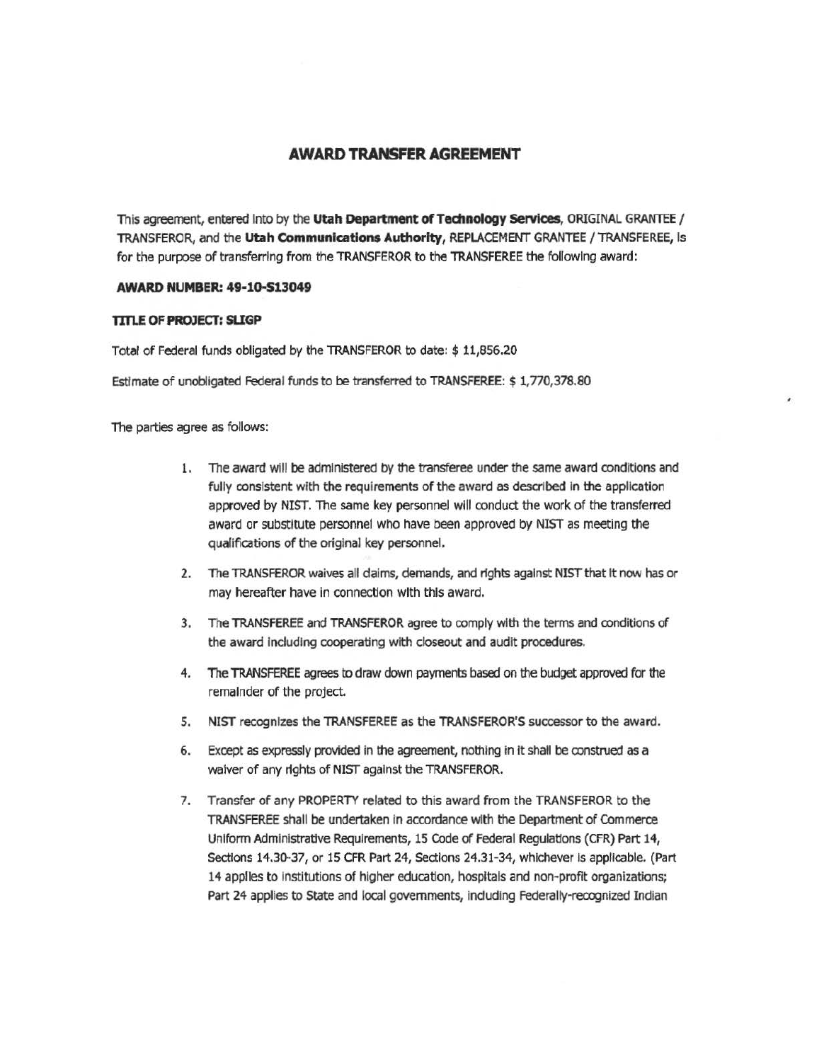## **AWARD TRANSFER AGREEMENT**

This agreement, entered Into by the Utah Department of Technology Services, ORIGINAL GRANTEE / TRANSFEROR, and t11e **Utah Communications Authority,** REPLACEMENT GRANTEE /TRANSFEREE, Is for the purpose of transferring from the TRANSFEROR to the TRANSFEREE the following award:

#### **AWARD NUMBER: 49·10.513049**

#### **TITlE OF PROJECT: SllGP**

Total of Federal funds obligated by the TRANSFEROR to date: \$ 11,856.20

Estimate of unobligated Federal funds to be transferred to TRANSFEREE: \$1,770,378.80

The parties agree as follows:

- 1. The award will be administered by the transferee under the same award conditions and fully consistent with the requirements of the award as described in the application approved by NIST. The same key personnel will conduct the work of the transferred award or substitute personnel who have been approved by NIST as meeting the qualifications of the original key personnel.
- 2. The TRANSFEROR waives all daims, demands, and r1ghts against NIST that It now has or may hereafter have in connection with this award.
- 3. The TRANSFEREE and TRANSFEROR agree to comply with the terms and conditions of the award Including cooperating with closeout and audit procedures.
- 4. The TRANSFEREE agrees to draw down payments based on the budget approved for the remainder of the project.
- 5. NIST recognizes the TRANSFEREE as the TRANSFEROR'S successor to the award.
- 6. Except as expressly provided in the agreement, nothing in It shall be construed as a waiver of any rights of NIST against the TRANSFEROR.
- 7. Transfer of any PROPERTY related to this award from the TRANSFEROR to the TRANSFEREE shall be undertaken in accordance with the Department of Commerce Uniform Administrative Requirements, 15 Code of Federal Regulatlons (CFR) Part 14, Sections 14.30-37, or 15 CFR Part 24, Sections 24.31-34, whichever is applicable. (Part 14 applies to institutions of higher education, hospitals and non-profit organizations; Part 24 applies to State and local governments, including Federally-recognized Indian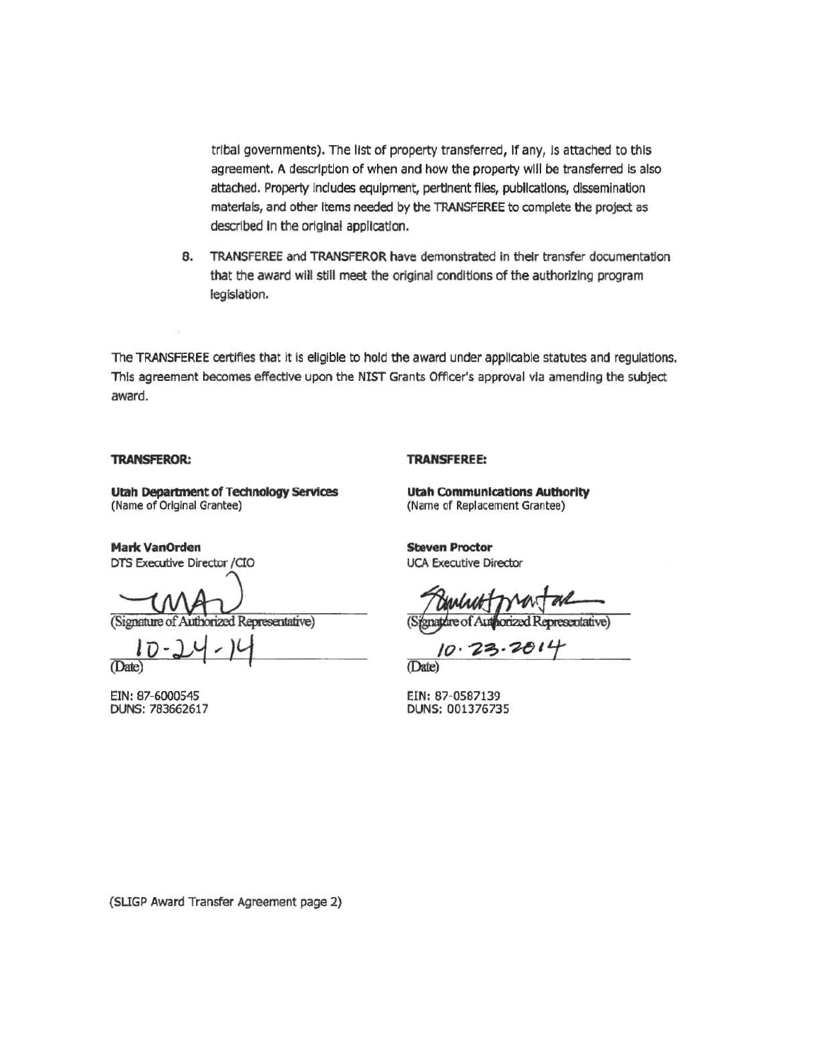tribal governments). The list of property transferred, If any, Is attached to this agreement. A description of when and how the property will be transferred is also attached. Property Includes equipment, pertinent flies, publications, dissemination materials, and other items needed by the TRANSFEREE to complete the project as described in the original application.

8. TRANSFEREE and TRANSFEROR have demonstrated In their transfer documentation that the award will still meet the original conditions of the authorizing program legislation.

The TRANSFEREE certifies that it is eligible to hold the award under applicable statutes and regulations. This agreement becomes effective upon the NIST Grants Officer's approval via amending the subject award.

#### **TRANSFEROR:**

### **TRANSFEREE:**

**Utah Deparbnent of Technology 5etvlces**  (Name of Original Grantee)

**Mark VanOrden**  DTS Executive Director /CIO

(Signature of Authorized Representative)

(Date)

EIN: 87-6000545 DUNS: 783662617

**Utah COmmunications Auttaorlty**  {Name of Replacement Grantee)

**Steven Proctor**  UCA Executive Director

**ATT** forized Representative)

(Dale)

EIN: 87-0587139 DUNS: 001376735

(SUGP Award Transfer Agreement page 2)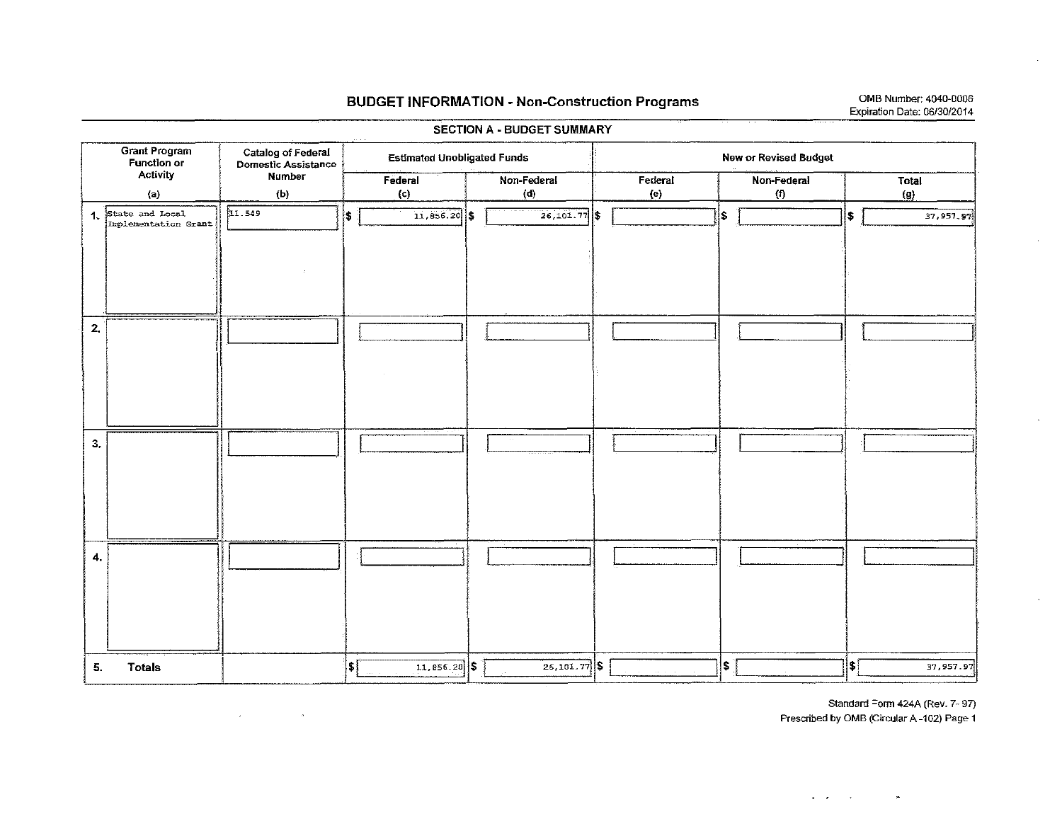## **BUDGET INFORMATION - Non-Construction Programs**

OMB Number: 4040-0006 Expiration Date: 06/30/2014

 $\mathcal{N}$ 

| <b>Grant Program</b><br><b>Function or</b><br>Activity |                                            | Catalog of Federal<br>Domestic Assistance | <b>Estimated Unobligated Funds</b>         |                | New or Revised Budget |                             |                   |  |  |  |  |
|--------------------------------------------------------|--------------------------------------------|-------------------------------------------|--------------------------------------------|----------------|-----------------------|-----------------------------|-------------------|--|--|--|--|
|                                                        |                                            | Number                                    | Federal                                    | Non-Federal    | Federal               | Non-Federal                 | <b>Total</b>      |  |  |  |  |
|                                                        | (a)                                        | (b)                                       | (c)                                        | (d)            | (e)                   | (1)                         | (g)               |  |  |  |  |
|                                                        | 1. State and Local<br>Implementation Grant | 11.549                                    | $11.856.20$ \$<br>(\$                      | $26,101.77$ \$ |                       | \$                          | \$<br>37,957,97   |  |  |  |  |
|                                                        |                                            |                                           |                                            |                |                       |                             |                   |  |  |  |  |
| 2.                                                     |                                            |                                           |                                            |                |                       |                             |                   |  |  |  |  |
| 3,                                                     |                                            |                                           |                                            | $\sim$         |                       |                             |                   |  |  |  |  |
| 4.                                                     |                                            |                                           |                                            |                |                       |                             |                   |  |  |  |  |
| 5.                                                     | <b>Totals</b>                              |                                           | $\vert \mathbf{t} \vert$<br>$11,856.20$ \$ | $26,101.77$ \$ |                       | $ \boldsymbol{\mathsf{s}} $ | \$ ∣<br>37,957.97 |  |  |  |  |

 $\langle \omega \rangle$ 

 $\mathcal{L}$ 

SECTION A - BUDGET SUMMARY

Standard Form 424A (Rev. 7-97) Prescribed by OMB (Circular A-102) Page 1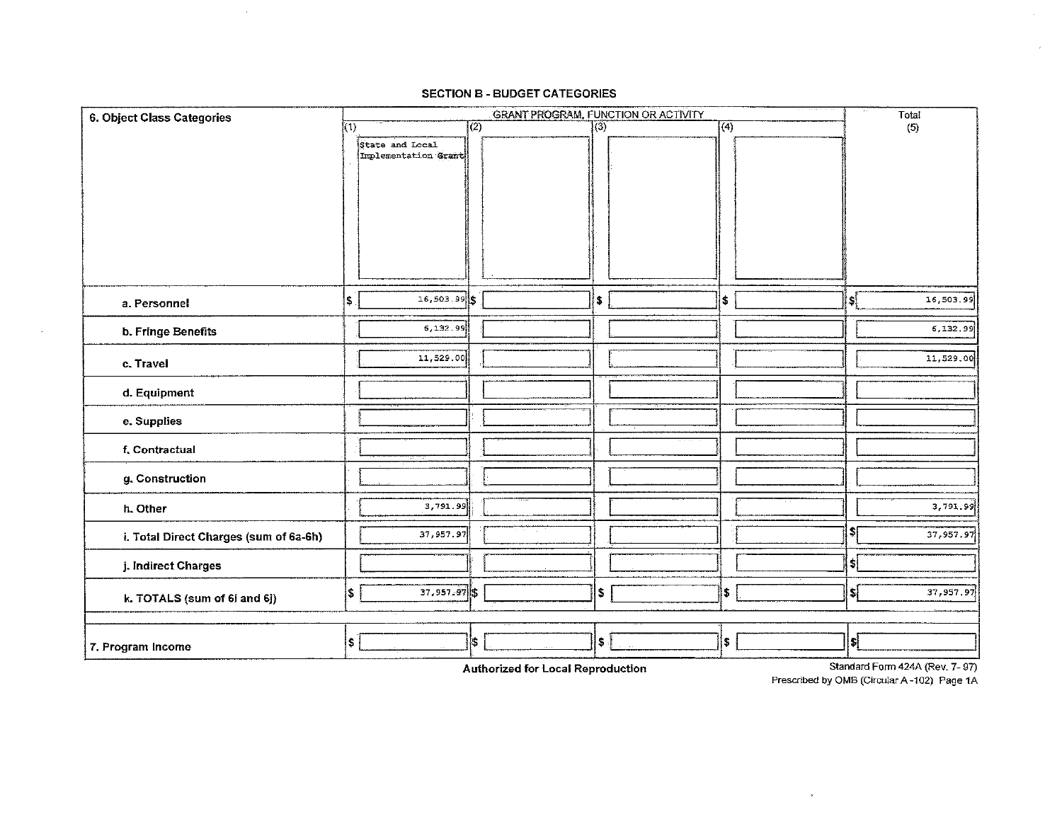| 6. Object Class Categories             |     | GRANT PROGRAM, FUNCTION OR ACTIVITY<br>$\sqrt{(1)}$ |                  |  |                             |  |                  |  |                | Total                    |
|----------------------------------------|-----|-----------------------------------------------------|------------------|--|-----------------------------|--|------------------|--|----------------|--------------------------|
|                                        |     |                                                     | $\overline{(2)}$ |  | $\overline{\left(3\right)}$ |  | $\overline{(4)}$ |  |                | (5)                      |
|                                        |     | State and Local                                     |                  |  |                             |  |                  |  |                |                          |
|                                        |     | Implementation Grant                                |                  |  |                             |  |                  |  |                |                          |
|                                        |     |                                                     |                  |  |                             |  |                  |  |                |                          |
|                                        |     |                                                     |                  |  |                             |  |                  |  |                |                          |
|                                        |     |                                                     |                  |  |                             |  |                  |  |                |                          |
|                                        |     |                                                     |                  |  |                             |  |                  |  |                |                          |
|                                        |     |                                                     |                  |  |                             |  |                  |  |                |                          |
|                                        |     |                                                     |                  |  |                             |  |                  |  |                |                          |
|                                        |     |                                                     |                  |  |                             |  |                  |  |                |                          |
| a. Personnel                           | ls. | $16,503.99$ \$                                      |                  |  | $\pmb{\mathsf{s}}$          |  | \$               |  | $ \mathbf{s} $ | 16,503.99                |
| b. Fringe Benefits                     |     | 5,132.99                                            |                  |  |                             |  |                  |  |                | 6,132.99                 |
| c. Travel                              |     | 11,529.00                                           |                  |  |                             |  |                  |  |                | 11,529.00                |
|                                        |     |                                                     |                  |  |                             |  |                  |  |                |                          |
| d. Equipment                           |     |                                                     |                  |  |                             |  |                  |  |                |                          |
| e. Supplies                            |     |                                                     |                  |  |                             |  |                  |  |                |                          |
| f. Contractual                         |     |                                                     |                  |  |                             |  |                  |  |                |                          |
|                                        |     |                                                     |                  |  |                             |  |                  |  |                |                          |
| g. Construction                        |     |                                                     |                  |  |                             |  |                  |  |                |                          |
| h. Other                               |     | 3,791.99                                            |                  |  |                             |  |                  |  |                | 3,791.99                 |
|                                        |     |                                                     |                  |  |                             |  |                  |  | z              |                          |
| i. Total Direct Charges (sum of 6a-6h) |     | 37,957.97                                           |                  |  |                             |  |                  |  |                | 37,957.97                |
| j. Indirect Charges                    |     |                                                     |                  |  |                             |  |                  |  | \$ļ            |                          |
| k. TOTALS (sum of 6i and 6j)           | \$  | 37,957.97                                           |                  |  | \$                          |  | \$               |  | \$ļ            | 37, 957.97               |
|                                        |     |                                                     |                  |  |                             |  |                  |  |                |                          |
|                                        | \$  |                                                     | Ĭ\$              |  | \$                          |  | \$               |  | IJ             |                          |
| 7. Program Income                      |     |                                                     |                  |  |                             |  |                  |  |                | Chamberland College ACAA |

#### **SECTION B - BUDGET CATEGORIES**

 $\sim 10^7$ 

 $\sim$ 

Authorized for Local Reproduction

Standard Form 424A (Rev. 7- 97) Prescribed by OMB (Circular A-102) Page 1A

 $_{\rm v}$ 

 $\hat{r}$